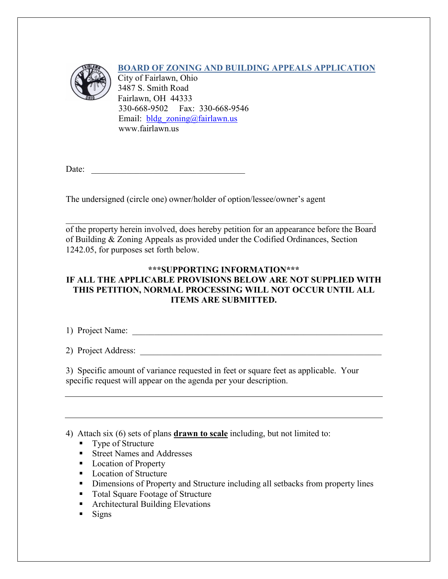

## **BOARD OF ZONING AND BUILDING APPEALS APPLICATION**

City of Fairlawn, Ohio 3487 S. Smith Road Fairlawn, OH 44333 330-668-9502 Fax: 330-668-9546 Email: bldg zoning@fairlawn.us www.fairlawn.us

Date:

The undersigned (circle one) owner/holder of option/lessee/owner's agent

of the property herein involved, does hereby petition for an appearance before the Board of Building & Zoning Appeals as provided under the Codified Ordinances, Section 1242.05, for purposes set forth below.

 $\_$  , and the set of the set of the set of the set of the set of the set of the set of the set of the set of the set of the set of the set of the set of the set of the set of the set of the set of the set of the set of th

### **\*\*\*SUPPORTING INFORMATION\*\*\* IF ALL THE APPLICABLE PROVISIONS BELOW ARE NOT SUPPLIED WITH THIS PETITION, NORMAL PROCESSING WILL NOT OCCUR UNTIL ALL ITEMS ARE SUBMITTED.**

1) Project Name: \_\_\_\_\_\_\_\_\_\_\_\_\_\_\_\_\_\_\_\_\_\_\_\_\_\_\_\_\_\_\_\_\_\_\_\_\_\_\_\_\_\_\_\_\_\_\_\_\_\_\_\_\_\_\_\_\_

2) Project Address:

3) Specific amount of variance requested in feet or square feet as applicable. Your specific request will appear on the agenda per your description.

4) Attach six (6) sets of plans **drawn to scale** including, but not limited to:

- Type of Structure
- **Street Names and Addresses**
- **Location of Property**
- **Location of Structure**
- Dimensions of Property and Structure including all setbacks from property lines
- Total Square Footage of Structure
- Architectural Building Elevations
- $\blacksquare$  Signs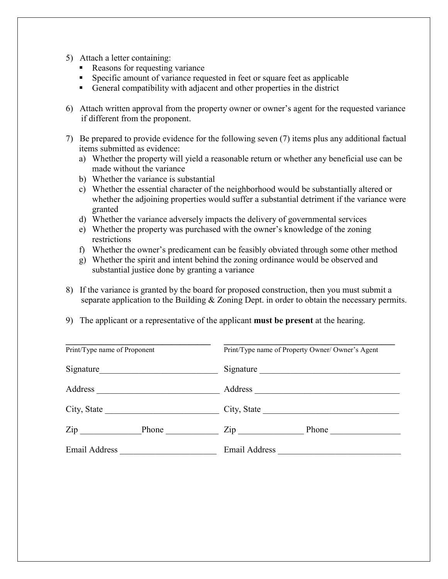- 5) Attach a letter containing:
	- Reasons for requesting variance
	- Specific amount of variance requested in feet or square feet as applicable
	- General compatibility with adjacent and other properties in the district
- 6) Attach written approval from the property owner or owner's agent for the requested variance if different from the proponent.
- 7) Be prepared to provide evidence for the following seven (7) items plus any additional factual items submitted as evidence:
	- a) Whether the property will yield a reasonable return or whether any beneficial use can be made without the variance
	- b) Whether the variance is substantial
	- c) Whether the essential character of the neighborhood would be substantially altered or whether the adjoining properties would suffer a substantial detriment if the variance were granted
	- d) Whether the variance adversely impacts the delivery of governmental services
	- e) Whether the property was purchased with the owner's knowledge of the zoning restrictions
	- f) Whether the owner's predicament can be feasibly obviated through some other method
	- g) Whether the spirit and intent behind the zoning ordinance would be observed and substantial justice done by granting a variance
- 8) If the variance is granted by the board for proposed construction, then you must submit a separate application to the Building & Zoning Dept. in order to obtain the necessary permits.
- 9) The applicant or a representative of the applicant **must be present** at the hearing.

| Print/Type name of Proponent |  | Print/Type name of Property Owner/ Owner's Agent |
|------------------------------|--|--------------------------------------------------|
| Signature                    |  | Signature                                        |
| Address                      |  | Address                                          |
| City, State                  |  | City, State                                      |
| $\mathsf{Zip}$               |  | $\mathsf{Zip}$<br>Phone                          |
| Email Address                |  | <b>Email Address</b>                             |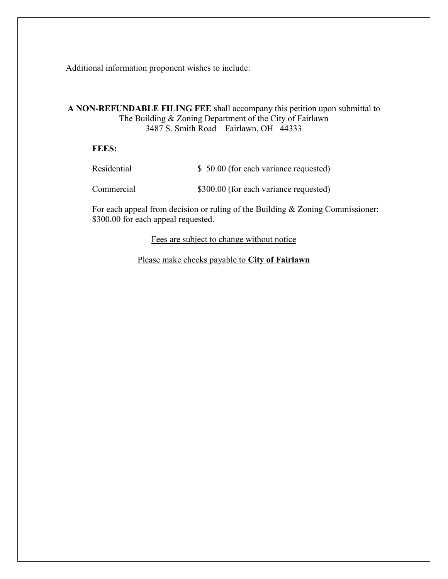Additional information proponent wishes to include:

### **A NON-REFUNDABLE FILING FEE** shall accompany this petition upon submittal to The Building & Zoning Department of the City of Fairlawn 3487 S. Smith Road – Fairlawn, OH 44333

#### **FEES:**

| Residential | \$ 50.00 (for each variance requested) |
|-------------|----------------------------------------|
| Commercial  | \$300.00 (for each variance requested) |

For each appeal from decision or ruling of the Building & Zoning Commissioner: \$300.00 for each appeal requested.

Fees are subject to change without notice

Please make checks payable to **City of Fairlawn**